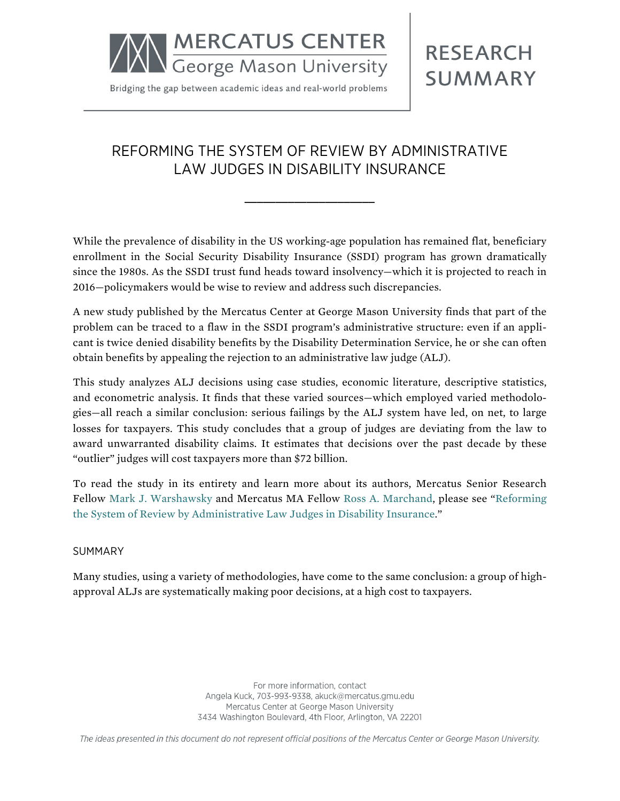

Bridging the gap between academic ideas and real-world problems

# **RESEARCH SUMMARY**

## REFORMING THE SYSTEM OF REVIEW BY ADMINISTRATIVE LAW JUDGES IN DISABILITY INSURANCE

**\_\_\_\_\_\_\_\_\_\_\_\_\_\_\_\_\_\_\_\_\_**

While the prevalence of disability in the US working-age population has remained flat, beneficiary enrollment in the Social Security Disability Insurance (SSDI) program has grown dramatically since the 1980s. As the SSDI trust fund heads toward insolvency—which it is projected to reach in 2016—policymakers would be wise to review and address such discrepancies.

A new study published by the Mercatus Center at George Mason University finds that part of the problem can be traced to a flaw in the SSDI program's administrative structure: even if an applicant is twice denied disability benefits by the Disability Determination Service, he or she can often obtain benefits by appealing the rejection to an administrative law judge (ALJ).

This study analyzes ALJ decisions using case studies, economic literature, descriptive statistics, and econometric analysis. It finds that these varied sources—which employed varied methodologies—all reach a similar conclusion: serious failings by the ALJ system have led, on net, to large losses for taxpayers. This study concludes that a group of judges are deviating from the law to award unwarranted disability claims. It estimates that decisions over the past decade by these "outlier" judges will cost taxpayers more than \$72 billion.

To read the study in its entirety and learn more about its authors, Mercatus Senior Research Fellow Mark J. [Warshawsky](http://mercatus.org/mark-j-warshawsky) and Mercatus MA Fellow [Ross A. Marchand](http://mercatus.org/site-search?search=marchand), please see ["Reforming](http://mercatus.org/publication/reforming-system-review-administrative-law-judges-disability-insurance) [the System of Review by Administrative Law Judges in Disability Insurance.](http://mercatus.org/publication/reforming-system-review-administrative-law-judges-disability-insurance)"

#### SUMMARY

Many studies, using a variety of methodologies, have come to the same conclusion: a group of highapproval ALJs are systematically making poor decisions, at a high cost to taxpayers.

> For more information, contact Angela Kuck, 703-993-9338, akuck@mercatus.gmu.edu Mercatus Center at George Mason University 3434 Washington Boulevard, 4th Floor, Arlington, VA 22201

The ideas presented in this document do not represent official positions of the Mercatus Center or George Mason University.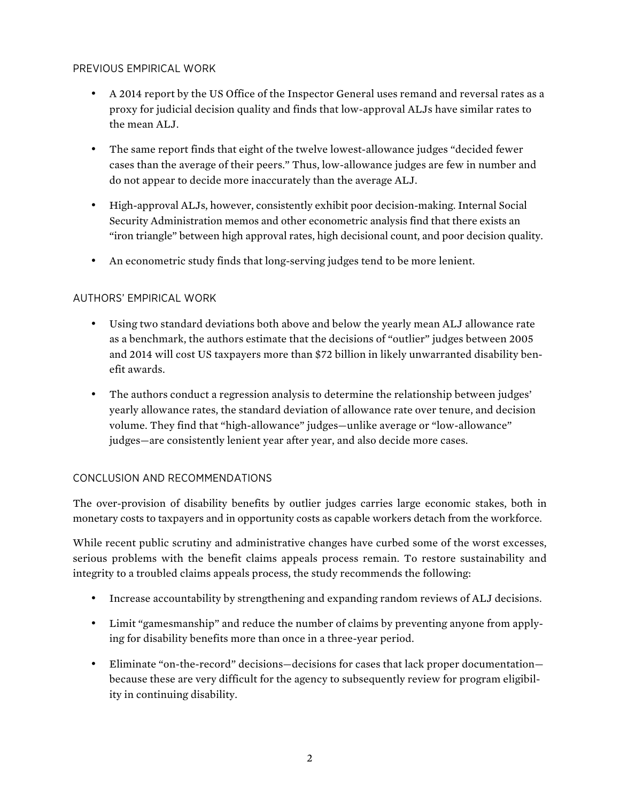#### PREVIOUS EMPIRICAL WORK

- A 2014 report by the US Office of the Inspector General uses remand and reversal rates as a proxy for judicial decision quality and finds that low-approval ALJs have similar rates to the mean ALJ.
- The same report finds that eight of the twelve lowest-allowance judges "decided fewer cases than the average of their peers." Thus, low-allowance judges are few in number and do not appear to decide more inaccurately than the average ALJ.
- High-approval ALJs, however, consistently exhibit poor decision-making. Internal Social Security Administration memos and other econometric analysis find that there exists an "iron triangle" between high approval rates, high decisional count, and poor decision quality.
- An econometric study finds that long-serving judges tend to be more lenient.

### AUTHORS' EMPIRICAL WORK

- Using two standard deviations both above and below the yearly mean ALJ allowance rate as a benchmark, the authors estimate that the decisions of "outlier" judges between 2005 and 2014 will cost US taxpayers more than \$72 billion in likely unwarranted disability benefit awards.
- The authors conduct a regression analysis to determine the relationship between judges' yearly allowance rates, the standard deviation of allowance rate over tenure, and decision volume. They find that "high-allowance" judges—unlike average or "low-allowance" judges—are consistently lenient year after year, and also decide more cases.

#### CONCLUSION AND RECOMMENDATIONS

The over-provision of disability benefits by outlier judges carries large economic stakes, both in monetary costs to taxpayers and in opportunity costs as capable workers detach from the workforce.

While recent public scrutiny and administrative changes have curbed some of the worst excesses, serious problems with the benefit claims appeals process remain. To restore sustainability and integrity to a troubled claims appeals process, the study recommends the following:

- Increase accountability by strengthening and expanding random reviews of ALJ decisions.
- Limit "gamesmanship" and reduce the number of claims by preventing anyone from applying for disability benefits more than once in a three-year period.
- Eliminate "on-the-record" decisions—decisions for cases that lack proper documentation because these are very difficult for the agency to subsequently review for program eligibility in continuing disability.